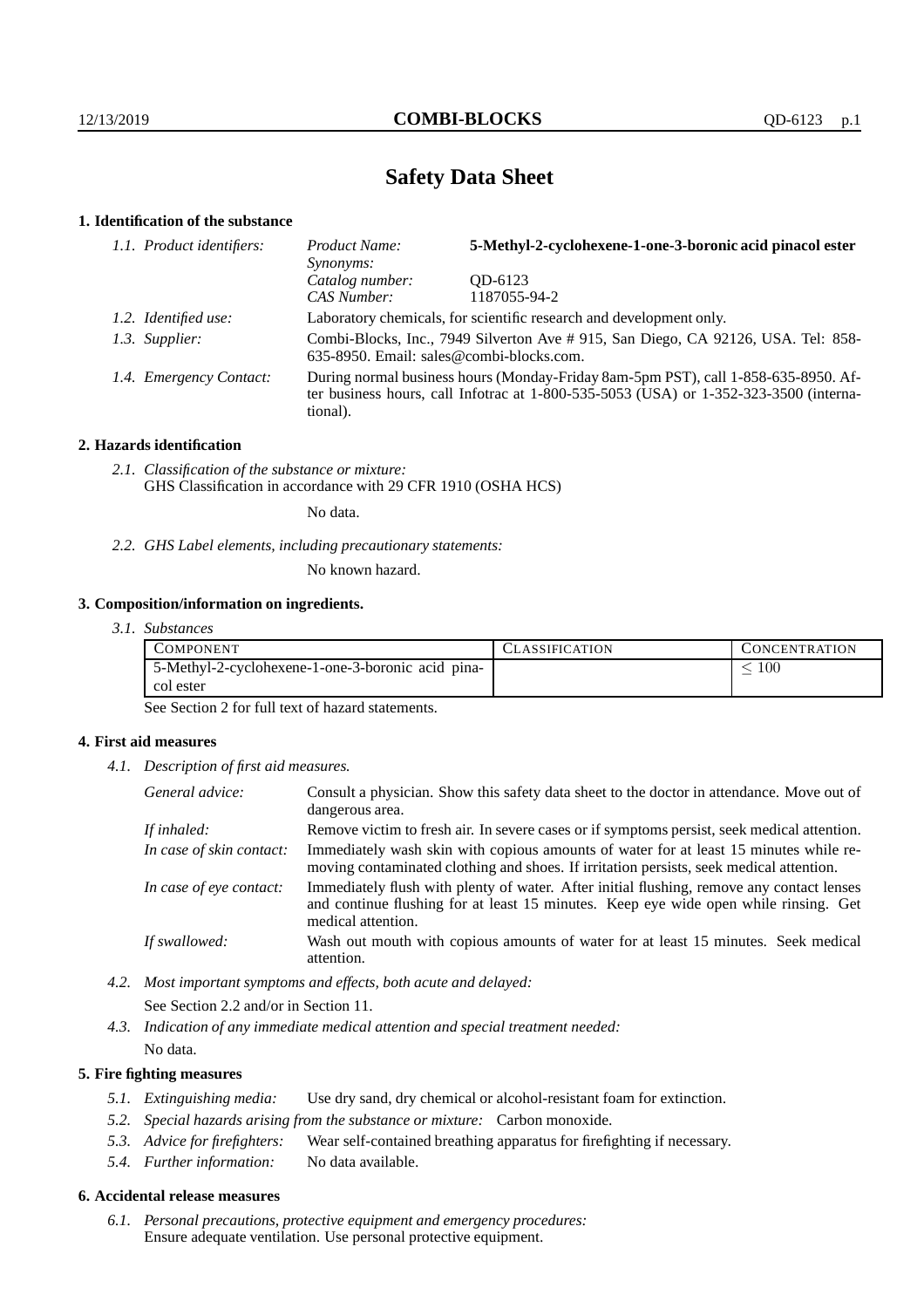# **Safety Data Sheet**

### **1. Identification of the substance**

| 1.1. Product identifiers: | Product Name:<br>Synonyms:               | 5-Methyl-2-cyclohexene-1-one-3-boronic acid pinacol ester                                                                                                                   |
|---------------------------|------------------------------------------|-----------------------------------------------------------------------------------------------------------------------------------------------------------------------------|
|                           | Catalog number:                          | OD-6123                                                                                                                                                                     |
|                           | CAS Number:                              | 1187055-94-2                                                                                                                                                                |
| 1.2. Identified use:      |                                          | Laboratory chemicals, for scientific research and development only.                                                                                                         |
| 1.3. Supplier:            | 635-8950. Email: sales@combi-blocks.com. | Combi-Blocks, Inc., 7949 Silverton Ave #915, San Diego, CA 92126, USA. Tel: 858-                                                                                            |
| 1.4. Emergency Contact:   | tional).                                 | During normal business hours (Monday-Friday 8am-5pm PST), call 1-858-635-8950. Af-<br>ter business hours, call Infotrac at 1-800-535-5053 (USA) or 1-352-323-3500 (interna- |

### **2. Hazards identification**

*2.1. Classification of the substance or mixture:* GHS Classification in accordance with 29 CFR 1910 (OSHA HCS)

No data.

*2.2. GHS Label elements, including precautionary statements:*

No known hazard.

### **3. Composition/information on ingredients.**

| 3.1. Substances |  |
|-----------------|--|
|                 |  |

| COMPONENT                                         | <b>LASSIFICATION</b> | <b>CONCENTRATION</b> |
|---------------------------------------------------|----------------------|----------------------|
| 5-Methyl-2-cyclohexene-1-one-3-boronic acid pina- |                      | 100                  |
| col ester                                         |                      |                      |

See Section 2 for full text of hazard statements.

### **4. First aid measures**

*4.1. Description of first aid measures.*

| General advice:          | Consult a physician. Show this safety data sheet to the doctor in attendance. Move out of<br>dangerous area.                                                                                            |
|--------------------------|---------------------------------------------------------------------------------------------------------------------------------------------------------------------------------------------------------|
| If inhaled:              | Remove victim to fresh air. In severe cases or if symptoms persist, seek medical attention.                                                                                                             |
| In case of skin contact: | Immediately wash skin with copious amounts of water for at least 15 minutes while re-<br>moving contaminated clothing and shoes. If irritation persists, seek medical attention.                        |
| In case of eye contact:  | Immediately flush with plenty of water. After initial flushing, remove any contact lenses<br>and continue flushing for at least 15 minutes. Keep eye wide open while rinsing. Get<br>medical attention. |
| If swallowed:            | Wash out mouth with copious amounts of water for at least 15 minutes. Seek medical<br>attention.                                                                                                        |

*4.2. Most important symptoms and effects, both acute and delayed:*

See Section 2.2 and/or in Section 11.

*4.3. Indication of any immediate medical attention and special treatment needed:*

# No data.

### **5. Fire fighting measures**

- *5.1. Extinguishing media:* Use dry sand, dry chemical or alcohol-resistant foam for extinction.
- *5.2. Special hazards arising from the substance or mixture:* Carbon monoxide.
- *5.3. Advice for firefighters:* Wear self-contained breathing apparatus for firefighting if necessary.
- *5.4. Further information:* No data available.

### **6. Accidental release measures**

*6.1. Personal precautions, protective equipment and emergency procedures:* Ensure adequate ventilation. Use personal protective equipment.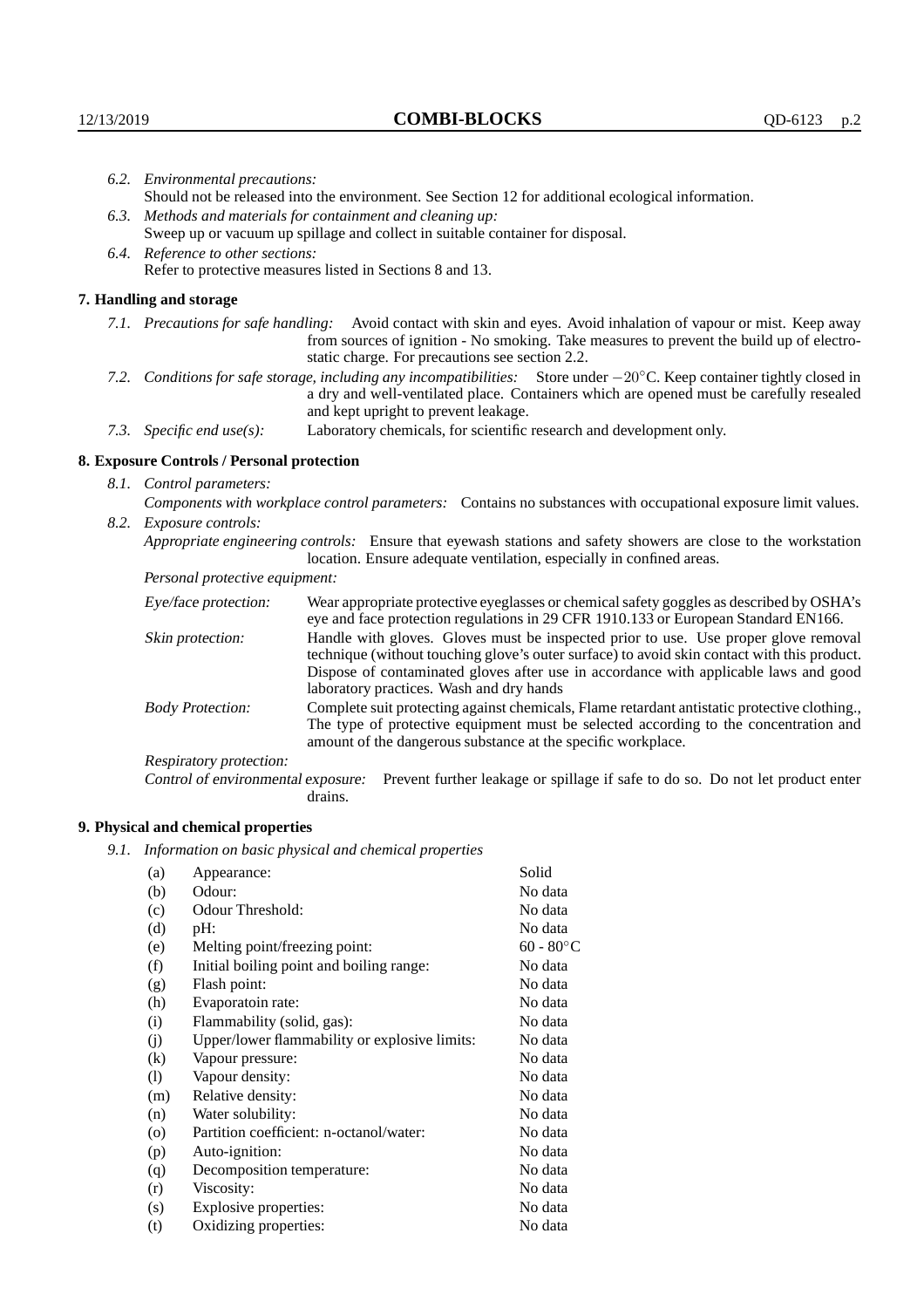|                                                                                | 6.2. Environmental precautions:                                                                                                                                                                                                                                     |                                                                                                                                                                                                                                                                    |  |  |  |
|--------------------------------------------------------------------------------|---------------------------------------------------------------------------------------------------------------------------------------------------------------------------------------------------------------------------------------------------------------------|--------------------------------------------------------------------------------------------------------------------------------------------------------------------------------------------------------------------------------------------------------------------|--|--|--|
|                                                                                | Should not be released into the environment. See Section 12 for additional ecological information.                                                                                                                                                                  |                                                                                                                                                                                                                                                                    |  |  |  |
|                                                                                |                                                                                                                                                                                                                                                                     | 6.3. Methods and materials for containment and cleaning up:                                                                                                                                                                                                        |  |  |  |
| Sweep up or vacuum up spillage and collect in suitable container for disposal. |                                                                                                                                                                                                                                                                     |                                                                                                                                                                                                                                                                    |  |  |  |
| 6.4. Reference to other sections:                                              |                                                                                                                                                                                                                                                                     |                                                                                                                                                                                                                                                                    |  |  |  |
|                                                                                |                                                                                                                                                                                                                                                                     | Refer to protective measures listed in Sections 8 and 13.                                                                                                                                                                                                          |  |  |  |
|                                                                                | 7. Handling and storage                                                                                                                                                                                                                                             |                                                                                                                                                                                                                                                                    |  |  |  |
|                                                                                |                                                                                                                                                                                                                                                                     | 7.1. Precautions for safe handling: Avoid contact with skin and eyes. Avoid inhalation of vapour or mist. Keep away<br>from sources of ignition - No smoking. Take measures to prevent the build up of electro-<br>static charge. For precautions see section 2.2. |  |  |  |
|                                                                                | 7.2. Conditions for safe storage, including any incompatibilities: Store under $-20^{\circ}$ C. Keep container tightly closed in<br>a dry and well-ventilated place. Containers which are opened must be carefully resealed<br>and kept upright to prevent leakage. |                                                                                                                                                                                                                                                                    |  |  |  |
|                                                                                | Laboratory chemicals, for scientific research and development only.<br>7.3. Specific end use(s):                                                                                                                                                                    |                                                                                                                                                                                                                                                                    |  |  |  |
|                                                                                | 8. Exposure Controls / Personal protection                                                                                                                                                                                                                          |                                                                                                                                                                                                                                                                    |  |  |  |
|                                                                                | 8.1. Control parameters:                                                                                                                                                                                                                                            |                                                                                                                                                                                                                                                                    |  |  |  |
|                                                                                |                                                                                                                                                                                                                                                                     | Components with workplace control parameters: Contains no substances with occupational exposure limit values.                                                                                                                                                      |  |  |  |
|                                                                                | 8.2. Exposure controls:                                                                                                                                                                                                                                             |                                                                                                                                                                                                                                                                    |  |  |  |
|                                                                                |                                                                                                                                                                                                                                                                     | Appropriate engineering controls: Ensure that eyewash stations and safety showers are close to the workstation<br>location. Ensure adequate ventilation, especially in confined areas.                                                                             |  |  |  |
|                                                                                | Personal protective equipment:                                                                                                                                                                                                                                      |                                                                                                                                                                                                                                                                    |  |  |  |
|                                                                                | Eye/face protection:                                                                                                                                                                                                                                                | Wear appropriate protective eyeglasses or chemical safety goggles as described by OSHA's<br>eye and face protection regulations in 29 CFR 1910.133 or European Standard EN166.                                                                                     |  |  |  |
|                                                                                | Skin protection:                                                                                                                                                                                                                                                    | Handle with gloves. Gloves must be inspected prior to use. Use proper glove removal                                                                                                                                                                                |  |  |  |

technique (without touching glove's outer surface) to avoid skin contact with this product. Dispose of contaminated gloves after use in accordance with applicable laws and good laboratory practices. Wash and dry hands

Body Protection: Complete suit protecting against chemicals, Flame retardant antistatic protective clothing., The type of protective equipment must be selected according to the concentration and amount of the dangerous substance at the specific workplace.

Respiratory protection:

Control of environmental exposure: Prevent further leakage or spillage if safe to do so. Do not let product enter drains.

## **9. Physical and chemical properties**

*9.1. Information on basic physical and chemical properties*

| (a)                | Appearance:                                   | Solid     |
|--------------------|-----------------------------------------------|-----------|
| (b)                | Odour:                                        | No data   |
| (c)                | Odour Threshold:                              | No data   |
| (d)                | pH:                                           | No data   |
| (e)                | Melting point/freezing point:                 | 60 - 80°C |
| (f)                | Initial boiling point and boiling range:      | No data   |
| (g)                | Flash point:                                  | No data   |
| (h)                | Evaporatoin rate:                             | No data   |
| (i)                | Flammability (solid, gas):                    | No data   |
| (j)                | Upper/lower flammability or explosive limits: | No data   |
| $\rm(k)$           | Vapour pressure:                              | No data   |
| (1)                | Vapour density:                               | No data   |
| (m)                | Relative density:                             | No data   |
| (n)                | Water solubility:                             | No data   |
| $\left( 0 \right)$ | Partition coefficient: n-octanol/water:       | No data   |
| (p)                | Auto-ignition:                                | No data   |
| (q)                | Decomposition temperature:                    | No data   |
| (r)                | Viscosity:                                    | No data   |
| (s)                | Explosive properties:                         | No data   |
| (t)                | Oxidizing properties:                         | No data   |
|                    |                                               |           |